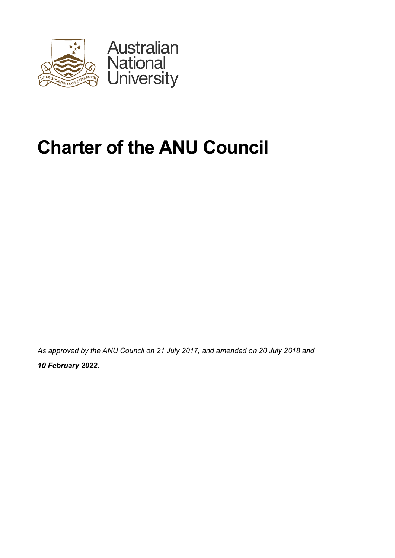

# **Charter of the ANU Council**

*As approved by the ANU Council on 21 July 2017, and amended on 20 July 2018 and* 

*10 February 2022.*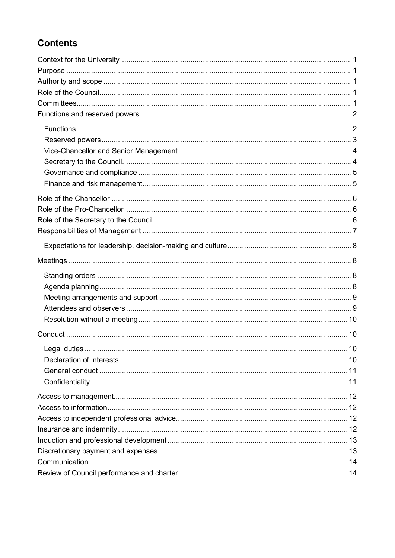# **Contents**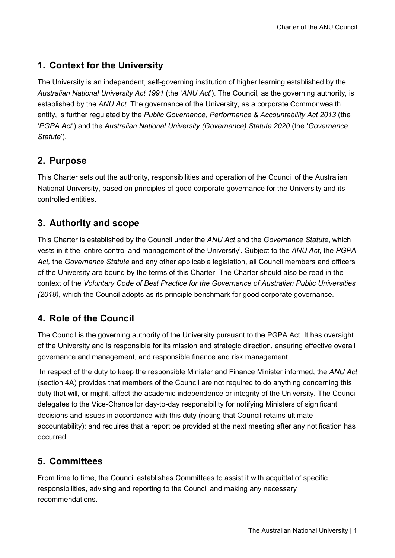# <span id="page-2-0"></span>**1. Context for the University**

The University is an independent, self-governing institution of higher learning established by the *Australian National University Act 1991* (the '*ANU Act*'). The Council, as the governing authority, is established by the *ANU Act*. The governance of the University, as a corporate Commonwealth entity, is further regulated by the *Public Governance, Performance & Accountability Act 2013* (the '*PGPA Act*') and the *Australian National University (Governance) Statute 2020* (the '*Governance Statute*').

# <span id="page-2-1"></span>**2. Purpose**

This Charter sets out the authority, responsibilities and operation of the Council of the Australian National University, based on principles of good corporate governance for the University and its controlled entities.

# <span id="page-2-2"></span>**3. Authority and scope**

This Charter is established by the Council under the *ANU Act* and the *Governance Statute*, which vests in it the 'entire control and management of the University'. Subject to the *ANU Act*, the *PGPA Act,* the *Governance Statute* and any other applicable legislation, all Council members and officers of the University are bound by the terms of this Charter. The Charter should also be read in the context of the *Voluntary Code of Best Practice for the Governance of Australian Public Universities (2018)*, which the Council adopts as its principle benchmark for good corporate governance.

# <span id="page-2-3"></span>**4. Role of the Council**

The Council is the governing authority of the University pursuant to the PGPA Act. It has oversight of the University and is responsible for its mission and strategic direction, ensuring effective overall governance and management, and responsible finance and risk management.

In respect of the duty to keep the responsible Minister and Finance Minister informed, the *ANU Act* (section 4A) provides that members of the Council are not required to do anything concerning this duty that will, or might, affect the academic independence or integrity of the University. The Council delegates to the Vice-Chancellor day-to-day responsibility for notifying Ministers of significant decisions and issues in accordance with this duty (noting that Council retains ultimate accountability); and requires that a report be provided at the next meeting after any notification has occurred.

# <span id="page-2-4"></span>**5. Committees**

From time to time, the Council establishes Committees to assist it with acquittal of specific responsibilities, advising and reporting to the Council and making any necessary recommendations.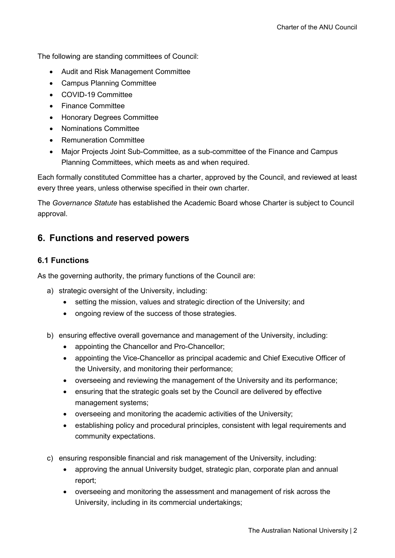The following are standing committees of Council:

- Audit and Risk Management Committee
- Campus Planning Committee
- COVID-19 Committee
- Finance Committee
- Honorary Degrees Committee
- Nominations Committee
- Remuneration Committee
- Major Projects Joint Sub-Committee, as a sub-committee of the Finance and Campus Planning Committees, which meets as and when required.

Each formally constituted Committee has a charter, approved by the Council, and reviewed at least every three years, unless otherwise specified in their own charter.

The *Governance Statute* has established the Academic Board whose Charter is subject to Council approval.

#### <span id="page-3-0"></span>**6. Functions and reserved powers**

#### <span id="page-3-1"></span>**6.1 Functions**

As the governing authority, the primary functions of the Council are:

- a) strategic oversight of the University, including:
	- setting the mission, values and strategic direction of the University; and
	- ongoing review of the success of those strategies.
- b) ensuring effective overall governance and management of the University, including:
	- appointing the Chancellor and Pro-Chancellor;
	- appointing the Vice-Chancellor as principal academic and Chief Executive Officer of the University, and monitoring their performance;
	- overseeing and reviewing the management of the University and its performance;
	- ensuring that the strategic goals set by the Council are delivered by effective management systems;
	- overseeing and monitoring the academic activities of the University;
	- establishing policy and procedural principles, consistent with legal requirements and community expectations.
- c) ensuring responsible financial and risk management of the University, including:
	- approving the annual University budget, strategic plan, corporate plan and annual report;
	- overseeing and monitoring the assessment and management of risk across the University, including in its commercial undertakings;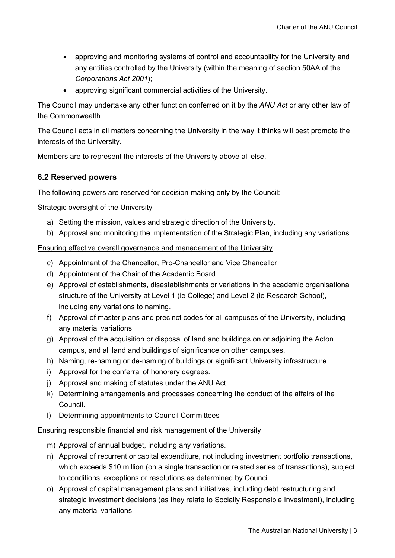- approving and monitoring systems of control and accountability for the University and any entities controlled by the University (within the meaning of section 50AA of the *Corporations Act 2001*);
- approving significant commercial activities of the University.

The Council may undertake any other function conferred on it by the *ANU Act* or any other law of the Commonwealth.

The Council acts in all matters concerning the University in the way it thinks will best promote the interests of the University.

Members are to represent the interests of the University above all else.

#### <span id="page-4-0"></span>**6.2 Reserved powers**

The following powers are reserved for decision-making only by the Council:

Strategic oversight of the University

- a) Setting the mission, values and strategic direction of the University.
- b) Approval and monitoring the implementation of the Strategic Plan, including any variations.

Ensuring effective overall governance and management of the University

- c) Appointment of the Chancellor, Pro-Chancellor and Vice Chancellor.
- d) Appointment of the Chair of the Academic Board
- e) Approval of establishments, disestablishments or variations in the academic organisational structure of the University at Level 1 (ie College) and Level 2 (ie Research School), including any variations to naming.
- f) Approval of master plans and precinct codes for all campuses of the University, including any material variations.
- g) Approval of the acquisition or disposal of land and buildings on or adjoining the Acton campus, and all land and buildings of significance on other campuses.
- h) Naming, re-naming or de-naming of buildings or significant University infrastructure.
- i) Approval for the conferral of honorary degrees.
- j) Approval and making of statutes under the ANU Act.
- k) Determining arrangements and processes concerning the conduct of the affairs of the Council.
- l) Determining appointments to Council Committees

#### Ensuring responsible financial and risk management of the University

- m) Approval of annual budget, including any variations.
- n) Approval of recurrent or capital expenditure, not including investment portfolio transactions, which exceeds \$10 million (on a single transaction or related series of transactions), subject to conditions, exceptions or resolutions as determined by Council.
- o) Approval of capital management plans and initiatives, including debt restructuring and strategic investment decisions (as they relate to Socially Responsible Investment), including any material variations.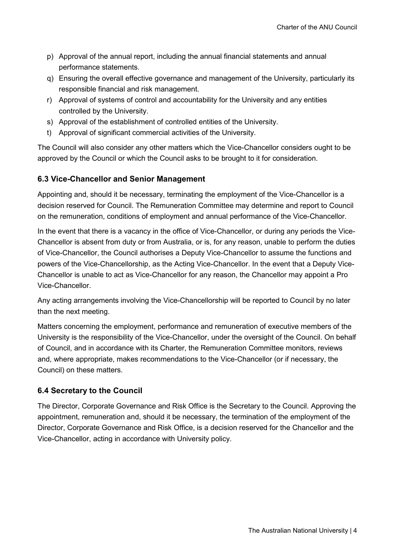- p) Approval of the annual report, including the annual financial statements and annual performance statements.
- q) Ensuring the overall effective governance and management of the University, particularly its responsible financial and risk management.
- r) Approval of systems of control and accountability for the University and any entities controlled by the University.
- s) Approval of the establishment of controlled entities of the University.
- t) Approval of significant commercial activities of the University.

The Council will also consider any other matters which the Vice-Chancellor considers ought to be approved by the Council or which the Council asks to be brought to it for consideration.

#### <span id="page-5-0"></span>**6.3 Vice-Chancellor and Senior Management**

Appointing and, should it be necessary, terminating the employment of the Vice-Chancellor is a decision reserved for Council. The Remuneration Committee may determine and report to Council on the remuneration, conditions of employment and annual performance of the Vice-Chancellor.

In the event that there is a vacancy in the office of Vice-Chancellor, or during any periods the Vice-Chancellor is absent from duty or from Australia, or is, for any reason, unable to perform the duties of Vice-Chancellor, the Council authorises a Deputy Vice-Chancellor to assume the functions and powers of the Vice-Chancellorship, as the Acting Vice-Chancellor. In the event that a Deputy Vice-Chancellor is unable to act as Vice-Chancellor for any reason, the Chancellor may appoint a Pro Vice-Chancellor.

Any acting arrangements involving the Vice-Chancellorship will be reported to Council by no later than the next meeting.

Matters concerning the employment, performance and remuneration of executive members of the University is the responsibility of the Vice-Chancellor, under the oversight of the Council. On behalf of Council, and in accordance with its Charter, the Remuneration Committee monitors, reviews and, where appropriate, makes recommendations to the Vice-Chancellor (or if necessary, the Council) on these matters.

#### <span id="page-5-1"></span>**6.4 Secretary to the Council**

The Director, Corporate Governance and Risk Office is the Secretary to the Council. Approving the appointment, remuneration and, should it be necessary, the termination of the employment of the Director, Corporate Governance and Risk Office, is a decision reserved for the Chancellor and the Vice-Chancellor, acting in accordance with University policy.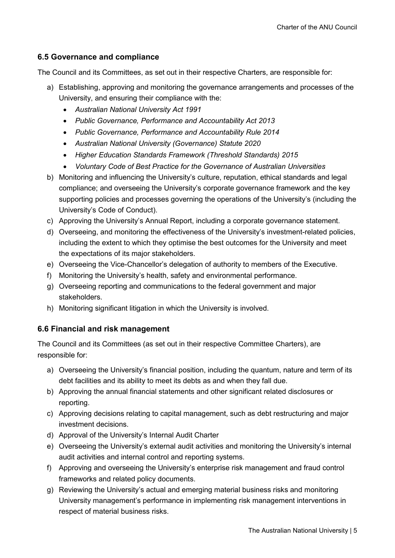#### <span id="page-6-0"></span>**6.5 Governance and compliance**

The Council and its Committees, as set out in their respective Charters, are responsible for:

- a) Establishing, approving and monitoring the governance arrangements and processes of the University, and ensuring their compliance with the:
	- *Australian National University Act 1991*
	- *Public Governance, Performance and Accountability Act 2013*
	- *Public Governance, Performance and Accountability Rule 2014*
	- *Australian National University (Governance) Statute 2020*
	- *Higher Education Standards Framework (Threshold Standards) 2015*
	- *Voluntary Code of Best Practice for the Governance of Australian Universities*
- b) Monitoring and influencing the University's culture, reputation, ethical standards and legal compliance; and overseeing the University's corporate governance framework and the key supporting policies and processes governing the operations of the University's (including the University's Code of Conduct).
- c) Approving the University's Annual Report, including a corporate governance statement.
- d) Overseeing, and monitoring the effectiveness of the University's investment-related policies, including the extent to which they optimise the best outcomes for the University and meet the expectations of its major stakeholders.
- e) Overseeing the Vice-Chancellor's delegation of authority to members of the Executive.
- f) Monitoring the University's health, safety and environmental performance.
- g) Overseeing reporting and communications to the federal government and major stakeholders.
- h) Monitoring significant litigation in which the University is involved.

#### <span id="page-6-1"></span>**6.6 Financial and risk management**

The Council and its Committees (as set out in their respective Committee Charters), are responsible for:

- a) Overseeing the University's financial position, including the quantum, nature and term of its debt facilities and its ability to meet its debts as and when they fall due.
- b) Approving the annual financial statements and other significant related disclosures or reporting.
- c) Approving decisions relating to capital management, such as debt restructuring and major investment decisions.
- d) Approval of the University's Internal Audit Charter
- e) Overseeing the University's external audit activities and monitoring the University's internal audit activities and internal control and reporting systems.
- f) Approving and overseeing the University's enterprise risk management and fraud control frameworks and related policy documents.
- g) Reviewing the University's actual and emerging material business risks and monitoring University management's performance in implementing risk management interventions in respect of material business risks.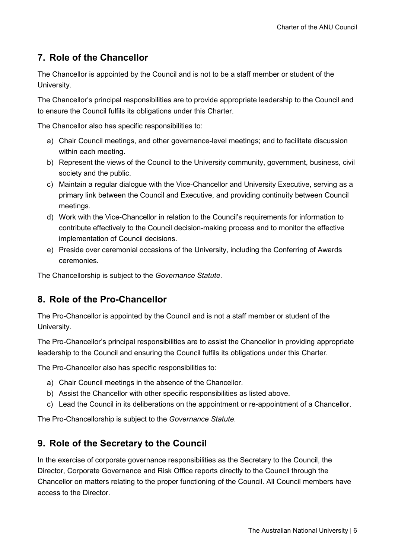# <span id="page-7-0"></span>**7. Role of the Chancellor**

The Chancellor is appointed by the Council and is not to be a staff member or student of the University.

The Chancellor's principal responsibilities are to provide appropriate leadership to the Council and to ensure the Council fulfils its obligations under this Charter.

The Chancellor also has specific responsibilities to:

- a) Chair Council meetings, and other governance-level meetings; and to facilitate discussion within each meeting.
- b) Represent the views of the Council to the University community, government, business, civil society and the public.
- c) Maintain a regular dialogue with the Vice-Chancellor and University Executive, serving as a primary link between the Council and Executive, and providing continuity between Council meetings.
- d) Work with the Vice-Chancellor in relation to the Council's requirements for information to contribute effectively to the Council decision-making process and to monitor the effective implementation of Council decisions.
- e) Preside over ceremonial occasions of the University, including the Conferring of Awards ceremonies.

The Chancellorship is subject to the *Governance Statute*.

# <span id="page-7-1"></span>**8. Role of the Pro-Chancellor**

The Pro-Chancellor is appointed by the Council and is not a staff member or student of the University.

The Pro-Chancellor's principal responsibilities are to assist the Chancellor in providing appropriate leadership to the Council and ensuring the Council fulfils its obligations under this Charter.

The Pro-Chancellor also has specific responsibilities to:

- a) Chair Council meetings in the absence of the Chancellor.
- b) Assist the Chancellor with other specific responsibilities as listed above.
- c) Lead the Council in its deliberations on the appointment or re-appointment of a Chancellor.

The Pro-Chancellorship is subject to the *Governance Statute*.

# <span id="page-7-2"></span>**9. Role of the Secretary to the Council**

In the exercise of corporate governance responsibilities as the Secretary to the Council, the Director, Corporate Governance and Risk Office reports directly to the Council through the Chancellor on matters relating to the proper functioning of the Council. All Council members have access to the Director.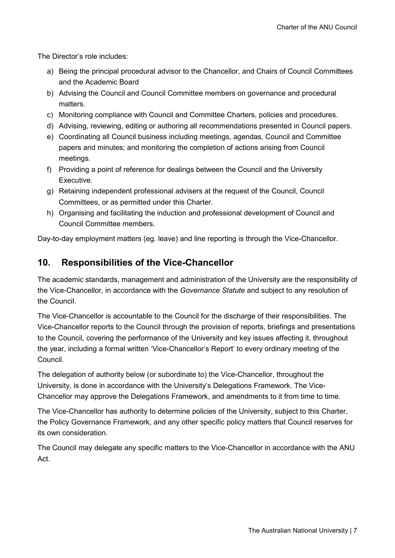The Director's role includes:

- a) Being the principal procedural advisor to the Chancellor, and Chairs of Council Committees and the Academic Board
- b) Advising the Council and Council Committee members on governance and procedural matters.
- c) Monitoring compliance with Council and Committee Charters, policies and procedures.
- d) Advising, reviewing, editing or authoring all recommendations presented in Council papers.
- e) Coordinating all Council business including meetings, agendas, Council and Committee papers and minutes; and monitoring the completion of actions arising from Council meetings.
- f) Providing a point of reference for dealings between the Council and the University Executive.
- g) Retaining independent professional advisers at the request of the Council, Council Committees, or as permitted under this Charter.
- h) Organising and facilitating the induction and professional development of Council and Council Committee members.

Day-to-day employment matters (eg. leave) and line reporting is through the Vice-Chancellor.

# <span id="page-8-0"></span>**10. Responsibilities of the Vice-Chancellor**

The academic standards, management and administration of the University are the responsibility of the Vice-Chancellor, in accordance with the *Governance Statute* and subject to any resolution of the Council.

The Vice-Chancellor is accountable to the Council for the discharge of their responsibilities. The Vice-Chancellor reports to the Council through the provision of reports, briefings and presentations to the Council, covering the performance of the University and key issues affecting it, throughout the year, including a formal written 'Vice-Chancellor's Report' to every ordinary meeting of the Council.

The delegation of authority below (or subordinate to) the Vice-Chancellor, throughout the University, is done in accordance with the University's Delegations Framework. The Vice-Chancellor may approve the Delegations Framework, and amendments to it from time to time.

The Vice-Chancellor has authority to determine policies of the University, subject to this Charter, the Policy Governance Framework, and any other specific policy matters that Council reserves for its own consideration.

The Council may delegate any specific matters to the Vice-Chancellor in accordance with the ANU Act.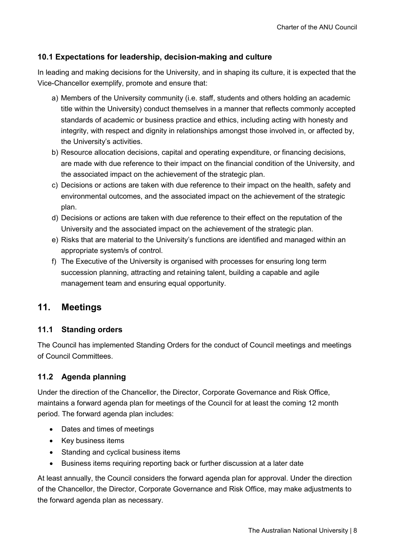#### <span id="page-9-0"></span>**10.1 Expectations for leadership, decision-making and culture**

In leading and making decisions for the University, and in shaping its culture, it is expected that the Vice-Chancellor exemplify, promote and ensure that:

- a) Members of the University community (i.e. staff, students and others holding an academic title within the University) conduct themselves in a manner that reflects commonly accepted standards of academic or business practice and ethics, including acting with honesty and integrity, with respect and dignity in relationships amongst those involved in, or affected by, the University's activities.
- b) Resource allocation decisions, capital and operating expenditure, or financing decisions, are made with due reference to their impact on the financial condition of the University, and the associated impact on the achievement of the strategic plan.
- c) Decisions or actions are taken with due reference to their impact on the health, safety and environmental outcomes, and the associated impact on the achievement of the strategic plan.
- d) Decisions or actions are taken with due reference to their effect on the reputation of the University and the associated impact on the achievement of the strategic plan.
- e) Risks that are material to the University's functions are identified and managed within an appropriate system/s of control.
- f) The Executive of the University is organised with processes for ensuring long term succession planning, attracting and retaining talent, building a capable and agile management team and ensuring equal opportunity.

## <span id="page-9-1"></span>**11. Meetings**

#### <span id="page-9-2"></span>**11.1 Standing orders**

The Council has implemented Standing Orders for the conduct of Council meetings and meetings of Council Committees.

#### <span id="page-9-3"></span>**11.2 Agenda planning**

Under the direction of the Chancellor, the Director, Corporate Governance and Risk Office, maintains a forward agenda plan for meetings of the Council for at least the coming 12 month period. The forward agenda plan includes:

- Dates and times of meetings
- Key business items
- Standing and cyclical business items
- Business items requiring reporting back or further discussion at a later date

At least annually, the Council considers the forward agenda plan for approval. Under the direction of the Chancellor, the Director, Corporate Governance and Risk Office, may make adjustments to the forward agenda plan as necessary.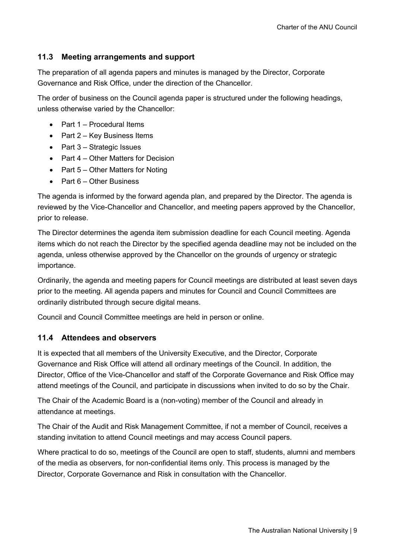#### <span id="page-10-0"></span>**11.3 Meeting arrangements and support**

The preparation of all agenda papers and minutes is managed by the Director, Corporate Governance and Risk Office, under the direction of the Chancellor.

The order of business on the Council agenda paper is structured under the following headings, unless otherwise varied by the Chancellor:

- Part 1 Procedural Items
- Part 2 Key Business Items
- Part 3 Strategic Issues
- Part 4 Other Matters for Decision
- Part 5 Other Matters for Noting
- Part 6 Other Business

The agenda is informed by the forward agenda plan, and prepared by the Director. The agenda is reviewed by the Vice-Chancellor and Chancellor, and meeting papers approved by the Chancellor, prior to release.

The Director determines the agenda item submission deadline for each Council meeting. Agenda items which do not reach the Director by the specified agenda deadline may not be included on the agenda, unless otherwise approved by the Chancellor on the grounds of urgency or strategic importance.

Ordinarily, the agenda and meeting papers for Council meetings are distributed at least seven days prior to the meeting. All agenda papers and minutes for Council and Council Committees are ordinarily distributed through secure digital means.

Council and Council Committee meetings are held in person or online.

#### <span id="page-10-1"></span>**11.4 Attendees and observers**

It is expected that all members of the University Executive, and the Director, Corporate Governance and Risk Office will attend all ordinary meetings of the Council. In addition, the Director, Office of the Vice-Chancellor and staff of the Corporate Governance and Risk Office may attend meetings of the Council, and participate in discussions when invited to do so by the Chair.

The Chair of the Academic Board is a (non-voting) member of the Council and already in attendance at meetings.

The Chair of the Audit and Risk Management Committee, if not a member of Council, receives a standing invitation to attend Council meetings and may access Council papers.

Where practical to do so, meetings of the Council are open to staff, students, alumni and members of the media as observers, for non-confidential items only. This process is managed by the Director, Corporate Governance and Risk in consultation with the Chancellor.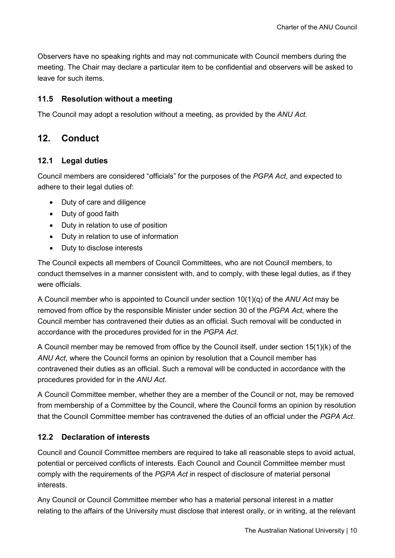Observers have no speaking rights and may not communicate with Council members during the meeting. The Chair may declare a particular item to be confidential and observers will be asked to leave for such items.

#### <span id="page-11-0"></span>**11.5 Resolution without a meeting**

The Council may adopt a resolution without a meeting, as provided by the *ANU Act*.

## <span id="page-11-1"></span>**12. Conduct**

#### <span id="page-11-2"></span>**12.1 Legal duties**

Council members are considered "officials" for the purposes of the *PGPA Act*, and expected to adhere to their legal duties of:

- Duty of care and diligence
- Duty of good faith
- Duty in relation to use of position
- Duty in relation to use of information
- Duty to disclose interests

The Council expects all members of Council Committees, who are not Council members, to conduct themselves in a manner consistent with, and to comply, with these legal duties, as if they were officials.

A Council member who is appointed to Council under section 10(1)(q) of the *ANU Act* may be removed from office by the responsible Minister under section 30 of the *PGPA Act*, where the Council member has contravened their duties as an official. Such removal will be conducted in accordance with the procedures provided for in the *PGPA Act*.

A Council member may be removed from office by the Council itself, under section 15(1)(k) of the *ANU Act*, where the Council forms an opinion by resolution that a Council member has contravened their duties as an official. Such a removal will be conducted in accordance with the procedures provided for in the *ANU Act*.

A Council Committee member, whether they are a member of the Council or not, may be removed from membership of a Committee by the Council, where the Council forms an opinion by resolution that the Council Committee member has contravened the duties of an official under the *PGPA Act*.

#### <span id="page-11-3"></span>**12.2 Declaration of interests**

Council and Council Committee members are required to take all reasonable steps to avoid actual, potential or perceived conflicts of interests. Each Council and Council Committee member must comply with the requirements of the *PGPA Act* in respect of disclosure of material personal interests.

Any Council or Council Committee member who has a material personal interest in a matter relating to the affairs of the University must disclose that interest orally, or in writing, at the relevant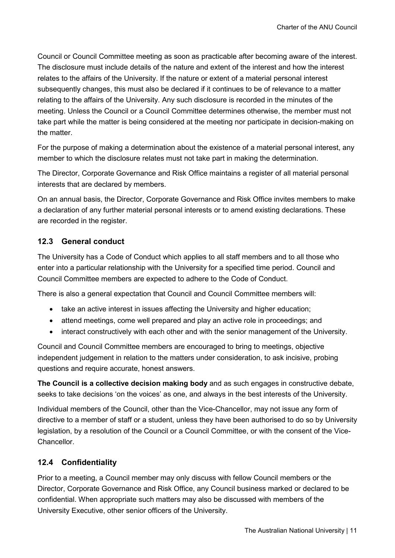Council or Council Committee meeting as soon as practicable after becoming aware of the interest. The disclosure must include details of the nature and extent of the interest and how the interest relates to the affairs of the University. If the nature or extent of a material personal interest subsequently changes, this must also be declared if it continues to be of relevance to a matter relating to the affairs of the University. Any such disclosure is recorded in the minutes of the meeting. Unless the Council or a Council Committee determines otherwise, the member must not take part while the matter is being considered at the meeting nor participate in decision-making on the matter.

For the purpose of making a determination about the existence of a material personal interest, any member to which the disclosure relates must not take part in making the determination.

The Director, Corporate Governance and Risk Office maintains a register of all material personal interests that are declared by members.

On an annual basis, the Director, Corporate Governance and Risk Office invites members to make a declaration of any further material personal interests or to amend existing declarations. These are recorded in the register.

#### <span id="page-12-0"></span>**12.3 General conduct**

The University has a Code of Conduct which applies to all staff members and to all those who enter into a particular relationship with the University for a specified time period. Council and Council Committee members are expected to adhere to the Code of Conduct.

There is also a general expectation that Council and Council Committee members will:

- take an active interest in issues affecting the University and higher education;
- attend meetings, come well prepared and play an active role in proceedings; and
- interact constructively with each other and with the senior management of the University.

Council and Council Committee members are encouraged to bring to meetings, objective independent judgement in relation to the matters under consideration, to ask incisive, probing questions and require accurate, honest answers.

**The Council is a collective decision making body** and as such engages in constructive debate, seeks to take decisions 'on the voices' as one, and always in the best interests of the University.

Individual members of the Council, other than the Vice-Chancellor, may not issue any form of directive to a member of staff or a student, unless they have been authorised to do so by University legislation, by a resolution of the Council or a Council Committee, or with the consent of the Vice-Chancellor.

#### <span id="page-12-1"></span>**12.4 Confidentiality**

Prior to a meeting, a Council member may only discuss with fellow Council members or the Director, Corporate Governance and Risk Office, any Council business marked or declared to be confidential. When appropriate such matters may also be discussed with members of the University Executive, other senior officers of the University.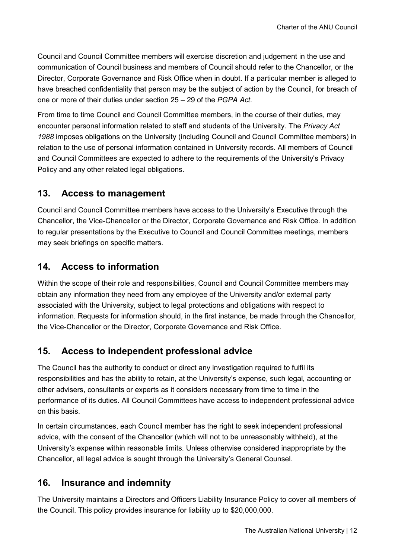Council and Council Committee members will exercise discretion and judgement in the use and communication of Council business and members of Council should refer to the Chancellor, or the Director, Corporate Governance and Risk Office when in doubt. If a particular member is alleged to have breached confidentiality that person may be the subject of action by the Council, for breach of one or more of their duties under section 25 – 29 of the *PGPA Act*.

From time to time Council and Council Committee members, in the course of their duties, may encounter personal information related to staff and students of the University. The *Privacy Act 1988* imposes obligations on the University (including Council and Council Committee members) in relation to the use of personal information contained in University records. All members of Council and Council Committees are expected to adhere to the requirements of the University's Privacy Policy and any other related legal obligations.

### <span id="page-13-0"></span>**13. Access to management**

Council and Council Committee members have access to the University's Executive through the Chancellor, the Vice-Chancellor or the Director, Corporate Governance and Risk Office. In addition to regular presentations by the Executive to Council and Council Committee meetings, members may seek briefings on specific matters.

## <span id="page-13-1"></span>**14. Access to information**

Within the scope of their role and responsibilities, Council and Council Committee members may obtain any information they need from any employee of the University and/or external party associated with the University, subject to legal protections and obligations with respect to information. Requests for information should, in the first instance, be made through the Chancellor, the Vice-Chancellor or the Director, Corporate Governance and Risk Office.

## <span id="page-13-2"></span>**15. Access to independent professional advice**

The Council has the authority to conduct or direct any investigation required to fulfil its responsibilities and has the ability to retain, at the University's expense, such legal, accounting or other advisers, consultants or experts as it considers necessary from time to time in the performance of its duties. All Council Committees have access to independent professional advice on this basis.

In certain circumstances, each Council member has the right to seek independent professional advice, with the consent of the Chancellor (which will not to be unreasonably withheld), at the University's expense within reasonable limits. Unless otherwise considered inappropriate by the Chancellor, all legal advice is sought through the University's General Counsel.

## <span id="page-13-3"></span>**16. Insurance and indemnity**

The University maintains a Directors and Officers Liability Insurance Policy to cover all members of the Council. This policy provides insurance for liability up to \$20,000,000.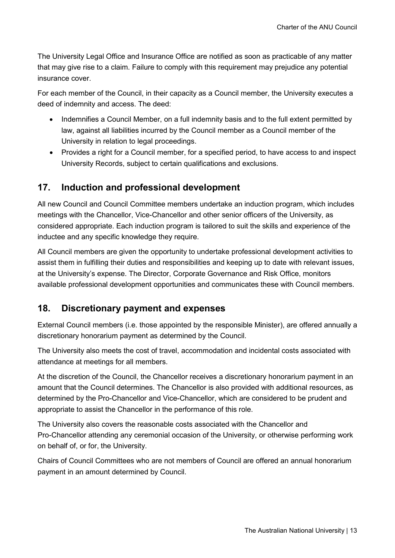The University Legal Office and Insurance Office are notified as soon as practicable of any matter that may give rise to a claim. Failure to comply with this requirement may prejudice any potential insurance cover.

For each member of the Council, in their capacity as a Council member, the University executes a deed of indemnity and access. The deed:

- Indemnifies a Council Member, on a full indemnity basis and to the full extent permitted by law, against all liabilities incurred by the Council member as a Council member of the University in relation to legal proceedings.
- Provides a right for a Council member, for a specified period, to have access to and inspect University Records, subject to certain qualifications and exclusions.

## <span id="page-14-0"></span>**17. Induction and professional development**

All new Council and Council Committee members undertake an induction program, which includes meetings with the Chancellor, Vice-Chancellor and other senior officers of the University, as considered appropriate. Each induction program is tailored to suit the skills and experience of the inductee and any specific knowledge they require.

All Council members are given the opportunity to undertake professional development activities to assist them in fulfilling their duties and responsibilities and keeping up to date with relevant issues, at the University's expense. The Director, Corporate Governance and Risk Office, monitors available professional development opportunities and communicates these with Council members.

## <span id="page-14-1"></span>**18. Discretionary payment and expenses**

External Council members (i.e. those appointed by the responsible Minister), are offered annually a discretionary honorarium payment as determined by the Council.

The University also meets the cost of travel, accommodation and incidental costs associated with attendance at meetings for all members.

At the discretion of the Council, the Chancellor receives a discretionary honorarium payment in an amount that the Council determines. The Chancellor is also provided with additional resources, as determined by the Pro-Chancellor and Vice-Chancellor, which are considered to be prudent and appropriate to assist the Chancellor in the performance of this role.

The University also covers the reasonable costs associated with the Chancellor and Pro-Chancellor attending any ceremonial occasion of the University, or otherwise performing work on behalf of, or for, the University.

Chairs of Council Committees who are not members of Council are offered an annual honorarium payment in an amount determined by Council.